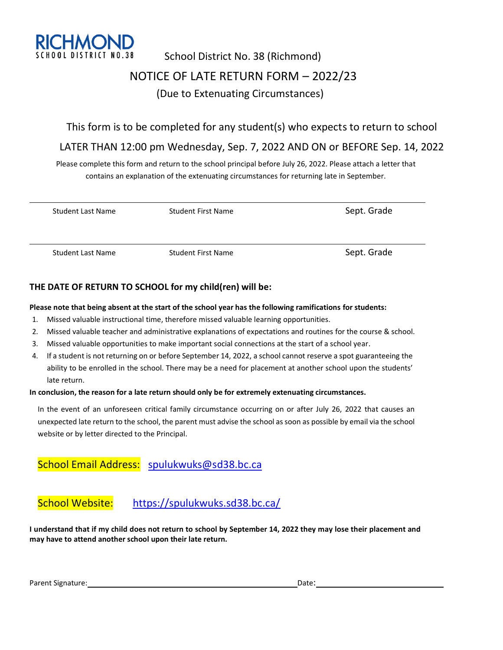

# School District No. 38 (Richmond) NOTICE OF LATE RETURN FORM – 2022/23 (Due to Extenuating Circumstances)

### This form is to be completed for any student(s) who expects to return to school

# LATER THAN 12:00 pm Wednesday, Sep. 7, 2022 AND ON or BEFORE Sep. 14, 2022

Please complete this form and return to the school principal before July 26, 2022. Please attach a letter that contains an explanation of the extenuating circumstances for returning late in September.

| <b>Student Last Name</b> | <b>Student First Name</b> | Sept. Grade |
|--------------------------|---------------------------|-------------|
| <b>Student Last Name</b> | <b>Student First Name</b> | Sept. Grade |

#### **THE DATE OF RETURN TO SCHOOL for my child(ren) will be:**

#### **Please note that being absent at the start of the school year has the following ramifications for students:**

- 1. Missed valuable instructional time, therefore missed valuable learning opportunities.
- 2. Missed valuable teacher and administrative explanations of expectations and routines for the course & school.
- 3. Missed valuable opportunities to make important social connections at the start of a school year.
- 4. If a student is not returning on or before September 14, 2022, a school cannot reserve a spot guaranteeing the ability to be enrolled in the school. There may be a need for placement at another school upon the students' late return.

#### **In conclusion, the reason for a late return should only be for extremely extenuating circumstances.**

In the event of an unforeseen critical family circumstance occurring on or after July 26, 2022 that causes an unexpected late return to the school, the parent must advise the school as soon as possible by email via the school website or by letter directed to the Principal.

## School Email Address: [spulukwuks@sd38.bc.ca](mailto:spulukwuks@sd38.bc.ca)

# School Website: <https://spulukwuks.sd38.bc.ca/>

**I understand that if my child does not return to school by September 14, 2022 they may lose their placement and may have to attend another school upon their late return.**